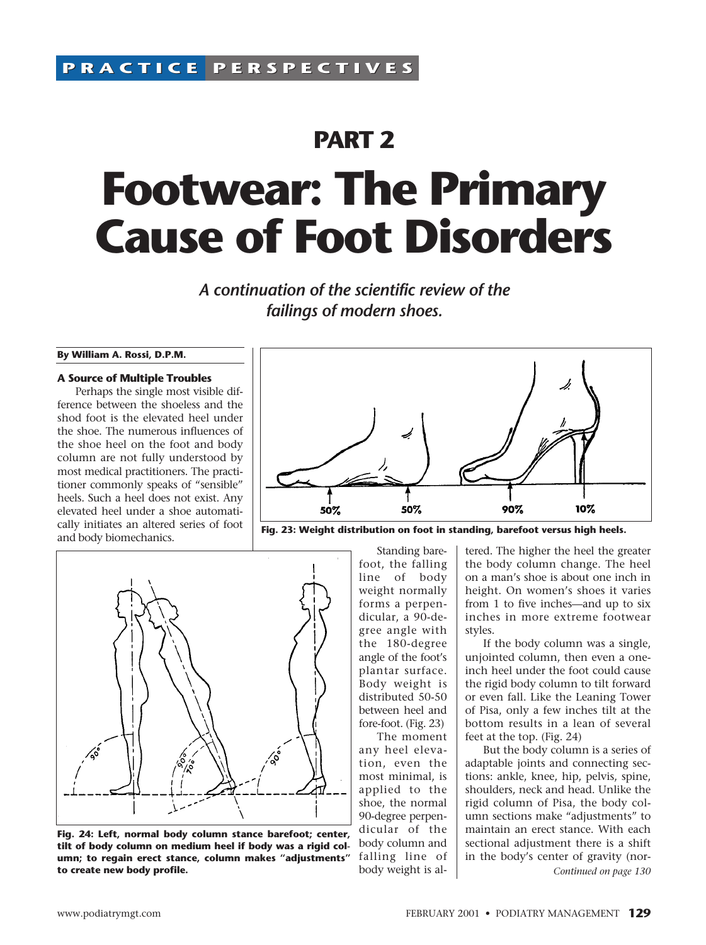# **PART 2 Footwear: The Primary Cause of Foot Disorders**

*A continuation of the scientific review of the failings of modern shoes.*

#### **By William A. Rossi, D.P.M.**

#### **A Source of Multiple Troubles**

Perhaps the single most visible difference between the shoeless and the shod foot is the elevated heel under the shoe. The numerous influences of the shoe heel on the foot and body column are not fully understood by most medical practitioners. The practitioner commonly speaks of "sensible" heels. Such a heel does not exist. Any elevated heel under a shoe automatically initiates an altered series of foot and body biomechanics.



**Fig. 23: Weight distribution on foot in standing, barefoot versus high heels.**



**Fig. 24: Left, normal body column stance barefoot; center, tilt of body column on medium heel if body was a rigid column; to regain erect stance, column makes "adjustments" to create new body profile.**

Standing barefoot, the falling line of body weight normally forms a perpendicular, a 90-degree angle with the 180-degree angle of the foot's plantar surface. Body weight is distributed 50-50 between heel and fore-foot. (Fig. 23)

The moment any heel elevation, even the most minimal, is applied to the shoe, the normal 90-degree perpendicular of the body column and falling line of body weight is altered. The higher the heel the greater the body column change. The heel on a man's shoe is about one inch in height. On women's shoes it varies from 1 to five inches—and up to six inches in more extreme footwear styles.

If the body column was a single, unjointed column, then even a oneinch heel under the foot could cause the rigid body column to tilt forward or even fall. Like the Leaning Tower of Pisa, only a few inches tilt at the bottom results in a lean of several feet at the top. (Fig. 24)

But the body column is a series of adaptable joints and connecting sections: ankle, knee, hip, pelvis, spine, shoulders, neck and head. Unlike the rigid column of Pisa, the body column sections make "adjustments" to maintain an erect stance. With each sectional adjustment there is a shift in the body's center of gravity (nor-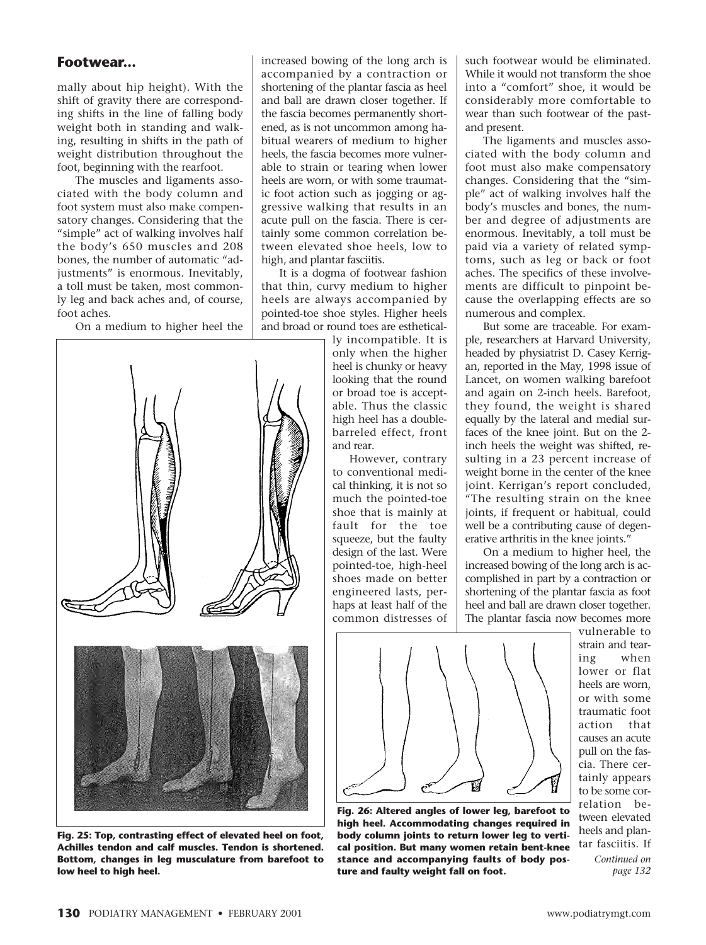mally about hip height). With the shift of gravity there are corresponding shifts in the line of falling body weight both in standing and walking, resulting in shifts in the path of weight distribution throughout the foot, beginning with the rearfoot.

The muscles and ligaments associated with the body column and foot system must also make compensatory changes. Considering that the "simple" act of walking involves half the body's 650 muscles and 208 bones, the number of automatic "adjustments" is enormous. Inevitably, a toll must be taken, most commonly leg and back aches and, of course, foot aches.

On a medium to higher heel the



**Fig. 25: Top, contrasting effect of elevated heel on foot, Achilles tendon and calf muscles. Tendon is shortened. Bottom, changes in leg musculature from barefoot to**

increased bowing of the long arch is accompanied by a contraction or shortening of the plantar fascia as heel and ball are drawn closer together. If the fascia becomes permanently shortened, as is not uncommon among habitual wearers of medium to higher heels, the fascia becomes more vulnerable to strain or tearing when lower heels are worn, or with some traumatic foot action such as jogging or aggressive walking that results in an acute pull on the fascia. There is certainly some common correlation between elevated shoe heels, low to high, and plantar fasciitis.

It is a dogma of footwear fashion that thin, curvy medium to higher heels are always accompanied by pointed-toe shoe styles. Higher heels and broad or round toes are esthetical-

ly incompatible. It is only when the higher heel is chunky or heavy looking that the round or broad toe is acceptable. Thus the classic high heel has a doublebarreled effect, front and rear.

However, contrary to conventional medical thinking, it is not so much the pointed-toe shoe that is mainly at fault for the toe squeeze, but the faulty design of the last. Were pointed-toe, high-heel shoes made on better engineered lasts, perhaps at least half of the common distresses of

such footwear would be eliminated. While it would not transform the shoe into a "comfort" shoe, it would be considerably more comfortable to wear than such footwear of the pastand present.

The ligaments and muscles associated with the body column and foot must also make compensatory changes. Considering that the "simple" act of walking involves half the body's muscles and bones, the number and degree of adjustments are enormous. Inevitably, a toll must be paid via a variety of related symptoms, such as leg or back or foot aches. The specifics of these involvements are difficult to pinpoint because the overlapping effects are so numerous and complex.

But some are traceable. For example, researchers at Harvard University, headed by physiatrist D. Casey Kerrigan, reported in the May, 1998 issue of Lancet, on women walking barefoot and again on 2-inch heels. Barefoot, they found, the weight is shared equally by the lateral and medial surfaces of the knee joint. But on the 2 inch heels the weight was shifted, resulting in a 23 percent increase of weight borne in the center of the knee joint. Kerrigan's report concluded, "The resulting strain on the knee joints, if frequent or habitual, could well be a contributing cause of degenerative arthritis in the knee joints."

On a medium to higher heel, the increased bowing of the long arch is accomplished in part by a contraction or shortening of the plantar fascia as foot heel and ball are drawn closer together. The plantar fascia now becomes more



**Fig. 26: Altered angles of lower leg, barefoot to high heel. Accommodating changes required in body column joints to return lower leg to vertical position. But many women retain bent-knee stance and accompanying faults of body posture and faulty weight fall on foot.**

vulnerable to strain and tearing when lower or flat heels are worn, or with some traumatic foot action that causes an acute pull on the fascia. There certainly appears to be some correlation between elevated heels and plantar fasciitis. If *Continued on*

*page 132*

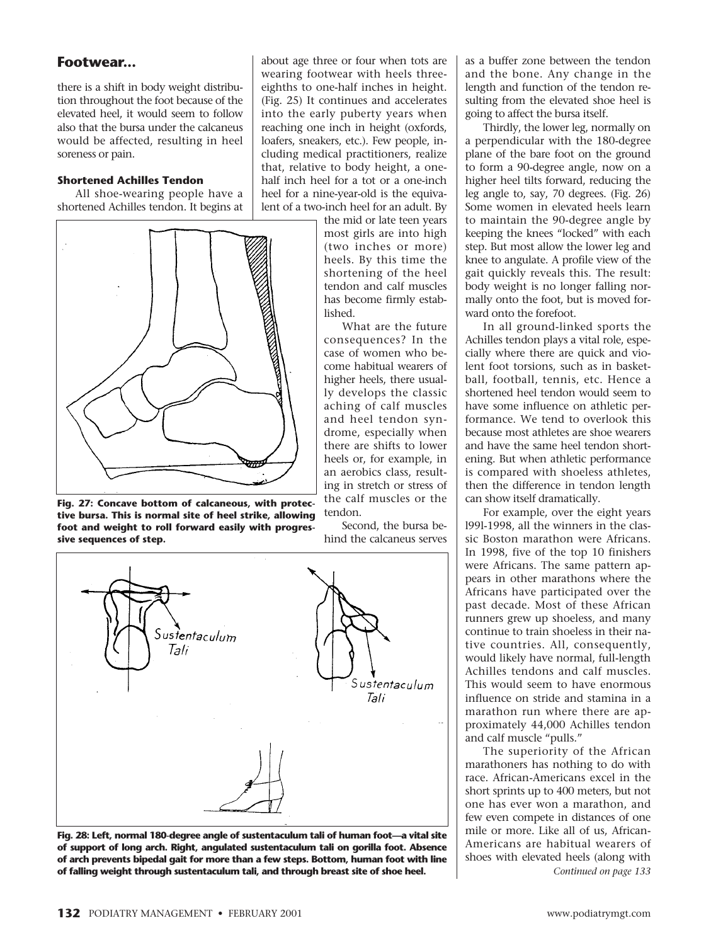there is a shift in body weight distribution throughout the foot because of the elevated heel, it would seem to follow also that the bursa under the calcaneus would be affected, resulting in heel soreness or pain.

#### **Shortened Achilles Tendon**

All shoe-wearing people have a shortened Achilles tendon. It begins at



**Fig. 27: Concave bottom of calcaneous, with protective bursa. This is normal site of heel strike, allowing foot and weight to roll forward easily with progressive sequences of step.**

about age three or four when tots are wearing footwear with heels threeeighths to one-half inches in height. (Fig. 25) It continues and accelerates into the early puberty years when reaching one inch in height (oxfords, loafers, sneakers, etc.). Few people, including medical practitioners, realize that, relative to body height, a onehalf inch heel for a tot or a one-inch heel for a nine-year-old is the equivalent of a two-inch heel for an adult. By

> the mid or late teen years most girls are into high (two inches or more) heels. By this time the shortening of the heel tendon and calf muscles has become firmly established.

What are the future consequences? In the case of women who become habitual wearers of higher heels, there usually develops the classic aching of calf muscles and heel tendon syndrome, especially when there are shifts to lower heels or, for example, in an aerobics class, resulting in stretch or stress of the calf muscles or the tendon.

Second, the bursa behind the calcaneus serves



**Fig. 28: Left, normal 180-degree angle of sustentaculum tali of human foot—a vital site of support of long arch. Right, angulated sustentaculum tali on gorilla foot. Absence of arch prevents bipedal gait for more than a few steps. Bottom, human foot with line of falling weight through sustentaculum tali, and through breast site of shoe heel.** *Continued on page 133* 

as a buffer zone between the tendon and the bone. Any change in the length and function of the tendon resulting from the elevated shoe heel is going to affect the bursa itself.

Thirdly, the lower leg, normally on a perpendicular with the 180-degree plane of the bare foot on the ground to form a 90-degree angle, now on a higher heel tilts forward, reducing the leg angle to, say, 70 degrees. (Fig. 26) Some women in elevated heels learn to maintain the 90-degree angle by keeping the knees "locked" with each step. But most allow the lower leg and knee to angulate. A profile view of the gait quickly reveals this. The result: body weight is no longer falling normally onto the foot, but is moved forward onto the forefoot.

In all ground-linked sports the Achilles tendon plays a vital role, especially where there are quick and violent foot torsions, such as in basketball, football, tennis, etc. Hence a shortened heel tendon would seem to have some influence on athletic performance. We tend to overlook this because most athletes are shoe wearers and have the same heel tendon shortening. But when athletic performance is compared with shoeless athletes, then the difference in tendon length can show itself dramatically.

For example, over the eight years l99l-1998, all the winners in the classic Boston marathon were Africans. In 1998, five of the top 10 finishers were Africans. The same pattern appears in other marathons where the Africans have participated over the past decade. Most of these African runners grew up shoeless, and many continue to train shoeless in their native countries. All, consequently, would likely have normal, full-length Achilles tendons and calf muscles. This would seem to have enormous influence on stride and stamina in a marathon run where there are approximately 44,000 Achilles tendon and calf muscle "pulls."

The superiority of the African marathoners has nothing to do with race. African-Americans excel in the short sprints up to 400 meters, but not one has ever won a marathon, and few even compete in distances of one mile or more. Like all of us, African-Americans are habitual wearers of shoes with elevated heels (along with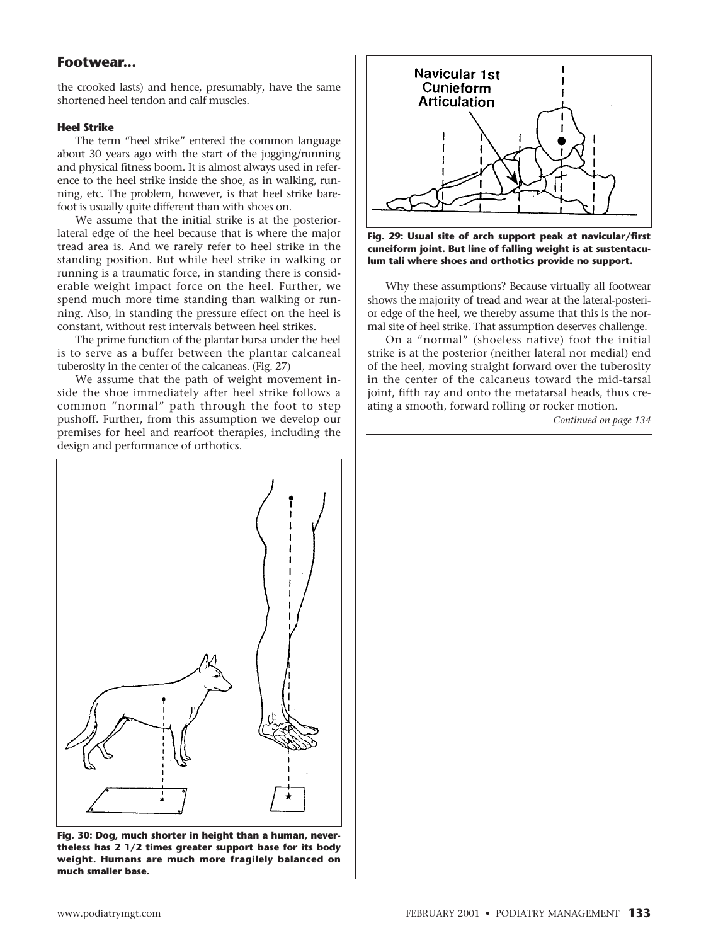the crooked lasts) and hence, presumably, have the same shortened heel tendon and calf muscles.

## **Heel Strike**

The term "heel strike" entered the common language about 30 years ago with the start of the jogging/running and physical fitness boom. It is almost always used in reference to the heel strike inside the shoe, as in walking, running, etc. The problem, however, is that heel strike barefoot is usually quite different than with shoes on.

We assume that the initial strike is at the posteriorlateral edge of the heel because that is where the major tread area is. And we rarely refer to heel strike in the standing position. But while heel strike in walking or running is a traumatic force, in standing there is considerable weight impact force on the heel. Further, we spend much more time standing than walking or running. Also, in standing the pressure effect on the heel is constant, without rest intervals between heel strikes.

The prime function of the plantar bursa under the heel is to serve as a buffer between the plantar calcaneal tuberosity in the center of the calcaneas. (Fig. 27)

We assume that the path of weight movement inside the shoe immediately after heel strike follows a common "normal" path through the foot to step pushoff. Further, from this assumption we develop our premises for heel and rearfoot therapies, including the design and performance of orthotics.



**Fig. 30: Dog, much shorter in height than a human, nevertheless has 2 1/2 times greater support base for its body weight. Humans are much more fragilely balanced on much smaller base.**



**Fig. 29: Usual site of arch support peak at navicular/first cuneiform joint. But line of falling weight is at sustentaculum tali where shoes and orthotics provide no support.**

Why these assumptions? Because virtually all footwear shows the majority of tread and wear at the lateral-posterior edge of the heel, we thereby assume that this is the normal site of heel strike. That assumption deserves challenge.

On a "normal" (shoeless native) foot the initial strike is at the posterior (neither lateral nor medial) end of the heel, moving straight forward over the tuberosity in the center of the calcaneus toward the mid-tarsal joint, fifth ray and onto the metatarsal heads, thus creating a smooth, forward rolling or rocker motion.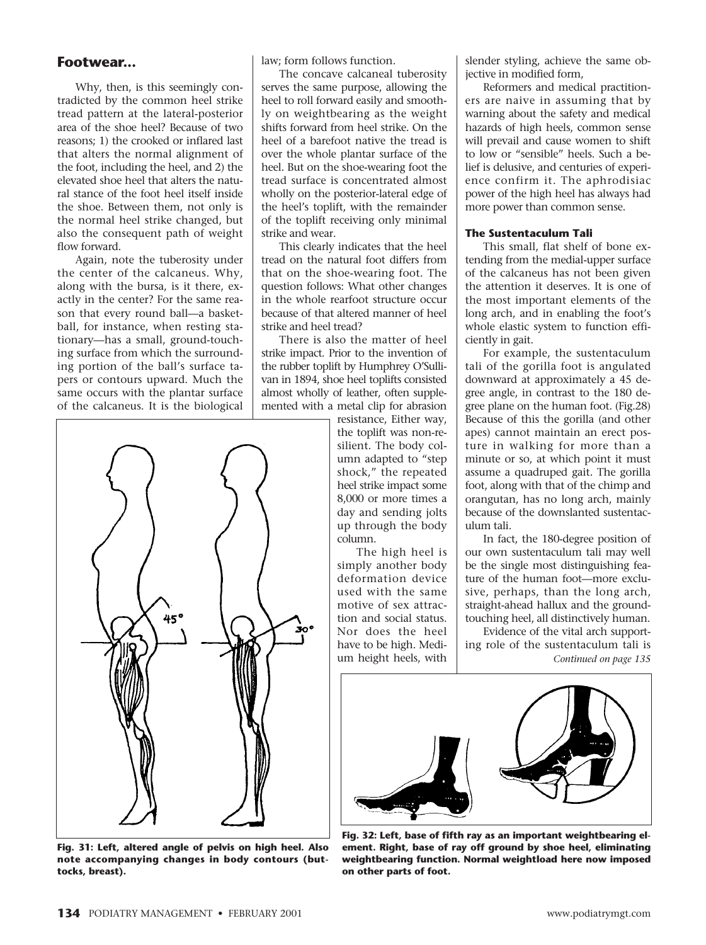Why, then, is this seemingly contradicted by the common heel strike tread pattern at the lateral-posterior area of the shoe heel? Because of two reasons; 1) the crooked or inflared last that alters the normal alignment of the foot, including the heel, and 2) the elevated shoe heel that alters the natural stance of the foot heel itself inside the shoe. Between them, not only is the normal heel strike changed, but also the consequent path of weight flow forward.

Again, note the tuberosity under the center of the calcaneus. Why, along with the bursa, is it there, exactly in the center? For the same reason that every round ball—a basketball, for instance, when resting stationary—has a small, ground-touching surface from which the surrounding portion of the ball's surface tapers or contours upward. Much the same occurs with the plantar surface of the calcaneus. It is the biological



**Fig. 31: Left, altered angle of pelvis on high heel. Also note accompanying changes in body contours (buttocks, breast).**

law; form follows function.

The concave calcaneal tuberosity serves the same purpose, allowing the heel to roll forward easily and smoothly on weightbearing as the weight shifts forward from heel strike. On the heel of a barefoot native the tread is over the whole plantar surface of the heel. But on the shoe-wearing foot the tread surface is concentrated almost wholly on the posterior-lateral edge of the heel's toplift, with the remainder of the toplift receiving only minimal strike and wear.

This clearly indicates that the heel tread on the natural foot differs from that on the shoe-wearing foot. The question follows: What other changes in the whole rearfoot structure occur because of that altered manner of heel strike and heel tread?

There is also the matter of heel strike impact. Prior to the invention of the rubber toplift by Humphrey O'Sullivan in 1894, shoe heel toplifts consisted almost wholly of leather, often supplemented with a metal clip for abrasion

resistance, Either way, the toplift was non-resilient. The body column adapted to "step shock," the repeated heel strike impact some 8,000 or more times a day and sending jolts up through the body column.

The high heel is simply another body deformation device used with the same motive of sex attraction and social status. Nor does the heel have to be high. Medium height heels, with

slender styling, achieve the same objective in modified form,

Reformers and medical practitioners are naive in assuming that by warning about the safety and medical hazards of high heels, common sense will prevail and cause women to shift to low or "sensible" heels. Such a belief is delusive, and centuries of experience confirm it. The aphrodisiac power of the high heel has always had more power than common sense.

#### **The Sustentaculum Tali**

This small, flat shelf of bone extending from the medial-upper surface of the calcaneus has not been given the attention it deserves. It is one of the most important elements of the long arch, and in enabling the foot's whole elastic system to function efficiently in gait.

For example, the sustentaculum tali of the gorilla foot is angulated downward at approximately a 45 degree angle, in contrast to the 180 degree plane on the human foot. (Fig.28) Because of this the gorilla (and other apes) cannot maintain an erect posture in walking for more than a minute or so, at which point it must assume a quadruped gait. The gorilla foot, along with that of the chimp and orangutan, has no long arch, mainly because of the downslanted sustentaculum tali.

In fact, the 180-degree position of our own sustentaculum tali may well be the single most distinguishing feature of the human foot—more exclusive, perhaps, than the long arch, straight-ahead hallux and the groundtouching heel, all distinctively human.

Evidence of the vital arch supporting role of the sustentaculum tali is *Continued on page 135*



**Fig. 32: Left, base of fifth ray as an important weightbearing element. Right, base of ray off ground by shoe heel, eliminating weightbearing function. Normal weightload here now imposed on other parts of foot.**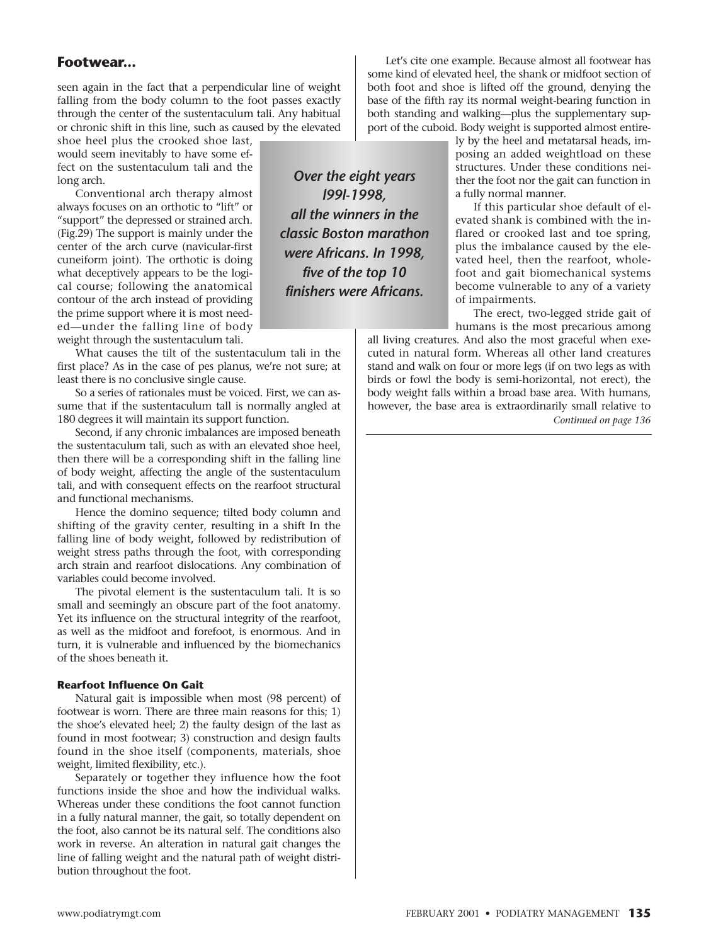seen again in the fact that a perpendicular line of weight falling from the body column to the foot passes exactly through the center of the sustentaculum tali. Any habitual or chronic shift in this line, such as caused by the elevated

shoe heel plus the crooked shoe last, would seem inevitably to have some effect on the sustentaculum tali and the long arch.

Conventional arch therapy almost always focuses on an orthotic to "lift" or "support" the depressed or strained arch. (Fig.29) The support is mainly under the center of the arch curve (navicular-first cuneiform joint). The orthotic is doing what deceptively appears to be the logical course; following the anatomical contour of the arch instead of providing the prime support where it is most needed—under the falling line of body weight through the sustentaculum tali.

What causes the tilt of the sustentaculum tali in the first place? As in the case of pes planus, we're not sure; at least there is no conclusive single cause.

So a series of rationales must be voiced. First, we can assume that if the sustentaculum tall is normally angled at 180 degrees it will maintain its support function.

Second, if any chronic imbalances are imposed beneath the sustentaculum tali, such as with an elevated shoe heel, then there will be a corresponding shift in the falling line of body weight, affecting the angle of the sustentaculum tali, and with consequent effects on the rearfoot structural and functional mechanisms.

Hence the domino sequence; tilted body column and shifting of the gravity center, resulting in a shift In the falling line of body weight, followed by redistribution of weight stress paths through the foot, with corresponding arch strain and rearfoot dislocations. Any combination of variables could become involved.

The pivotal element is the sustentaculum tali. It is so small and seemingly an obscure part of the foot anatomy. Yet its influence on the structural integrity of the rearfoot, as well as the midfoot and forefoot, is enormous. And in turn, it is vulnerable and influenced by the biomechanics of the shoes beneath it.

## **Rearfoot Influence On Gait**

Natural gait is impossible when most (98 percent) of footwear is worn. There are three main reasons for this; 1) the shoe's elevated heel; 2) the faulty design of the last as found in most footwear; 3) construction and design faults found in the shoe itself (components, materials, shoe weight, limited flexibility, etc.).

Separately or together they influence how the foot functions inside the shoe and how the individual walks. Whereas under these conditions the foot cannot function in a fully natural manner, the gait, so totally dependent on the foot, also cannot be its natural self. The conditions also work in reverse. An alteration in natural gait changes the line of falling weight and the natural path of weight distribution throughout the foot.

**Footwear... Footwear** some kind of elevated heel, the shank or midfoot section of both foot and shoe is lifted off the ground, denying the base of the fifth ray its normal weight-bearing function in both standing and walking—plus the supplementary support of the cuboid. Body weight is supported almost entire-

> *Over the eight years l99l-1998, all the winners in the classic Boston marathon were Africans. In 1998, five of the top 10 finishers were Africans.*

ly by the heel and metatarsal heads, imposing an added weightload on these structures. Under these conditions neither the foot nor the gait can function in a fully normal manner.

If this particular shoe default of elevated shank is combined with the inflared or crooked last and toe spring, plus the imbalance caused by the elevated heel, then the rearfoot, wholefoot and gait biomechanical systems become vulnerable to any of a variety of impairments.

The erect, two-legged stride gait of humans is the most precarious among

all living creatures. And also the most graceful when executed in natural form. Whereas all other land creatures stand and walk on four or more legs (if on two legs as with birds or fowl the body is semi-horizontal, not erect), the body weight falls within a broad base area. With humans, however, the base area is extraordinarily small relative to *Continued on page 136*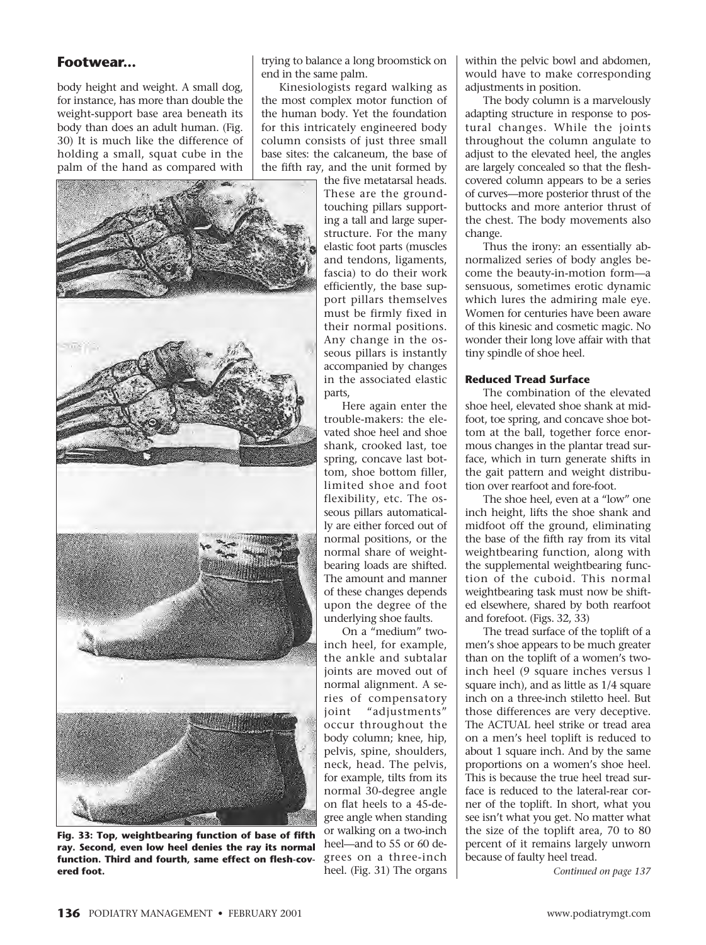body height and weight. A small dog, for instance, has more than double the weight-support base area beneath its body than does an adult human. (Fig. 30) It is much like the difference of holding a small, squat cube in the palm of the hand as compared with



**Fig. 33: Top, weightbearing function of base of fifth ray. Second, even low heel denies the ray its normal function. Third and fourth, same effect on flesh-covered foot.**

trying to balance a long broomstick on end in the same palm.

Kinesiologists regard walking as the most complex motor function of the human body. Yet the foundation for this intricately engineered body column consists of just three small base sites: the calcaneum, the base of the fifth ray, and the unit formed by

the five metatarsal heads. These are the groundtouching pillars supporting a tall and large superstructure. For the many elastic foot parts (muscles and tendons, ligaments, fascia) to do their work efficiently, the base support pillars themselves must be firmly fixed in their normal positions. Any change in the osseous pillars is instantly accompanied by changes in the associated elastic parts,

Here again enter the trouble-makers: the elevated shoe heel and shoe shank, crooked last, toe spring, concave last bottom, shoe bottom filler, limited shoe and foot flexibility, etc. The osseous pillars automatically are either forced out of normal positions, or the normal share of weightbearing loads are shifted. The amount and manner of these changes depends upon the degree of the underlying shoe faults.

On a "medium" twoinch heel, for example, the ankle and subtalar joints are moved out of normal alignment. A series of compensatory joint "adjustments" occur throughout the body column; knee, hip, pelvis, spine, shoulders, neck, head. The pelvis, for example, tilts from its normal 30-degree angle on flat heels to a 45-degree angle when standing or walking on a two-inch heel—and to 55 or 60 degrees on a three-inch heel. (Fig. 31) The organs

within the pelvic bowl and abdomen, would have to make corresponding adjustments in position.

The body column is a marvelously adapting structure in response to postural changes. While the joints throughout the column angulate to adjust to the elevated heel, the angles are largely concealed so that the fleshcovered column appears to be a series of curves—more posterior thrust of the buttocks and more anterior thrust of the chest. The body movements also change.

Thus the irony: an essentially abnormalized series of body angles become the beauty-in-motion form—a sensuous, sometimes erotic dynamic which lures the admiring male eye. Women for centuries have been aware of this kinesic and cosmetic magic. No wonder their long love affair with that tiny spindle of shoe heel.

#### **Reduced Tread Surface**

The combination of the elevated shoe heel, elevated shoe shank at midfoot, toe spring, and concave shoe bottom at the ball, together force enormous changes in the plantar tread surface, which in turn generate shifts in the gait pattern and weight distribution over rearfoot and fore-foot.

The shoe heel, even at a "low" one inch height, lifts the shoe shank and midfoot off the ground, eliminating the base of the fifth ray from its vital weightbearing function, along with the supplemental weightbearing function of the cuboid. This normal weightbearing task must now be shifted elsewhere, shared by both rearfoot and forefoot. (Figs. 32, 33)

The tread surface of the toplift of a men's shoe appears to be much greater than on the toplift of a women's twoinch heel (9 square inches versus l square inch), and as little as 1/4 square inch on a three-inch stiletto heel. But those differences are very deceptive. The ACTUAL heel strike or tread area on a men's heel toplift is reduced to about 1 square inch. And by the same proportions on a women's shoe heel. This is because the true heel tread surface is reduced to the lateral-rear corner of the toplift. In short, what you see isn't what you get. No matter what the size of the toplift area, 70 to 80 percent of it remains largely unworn because of faulty heel tread.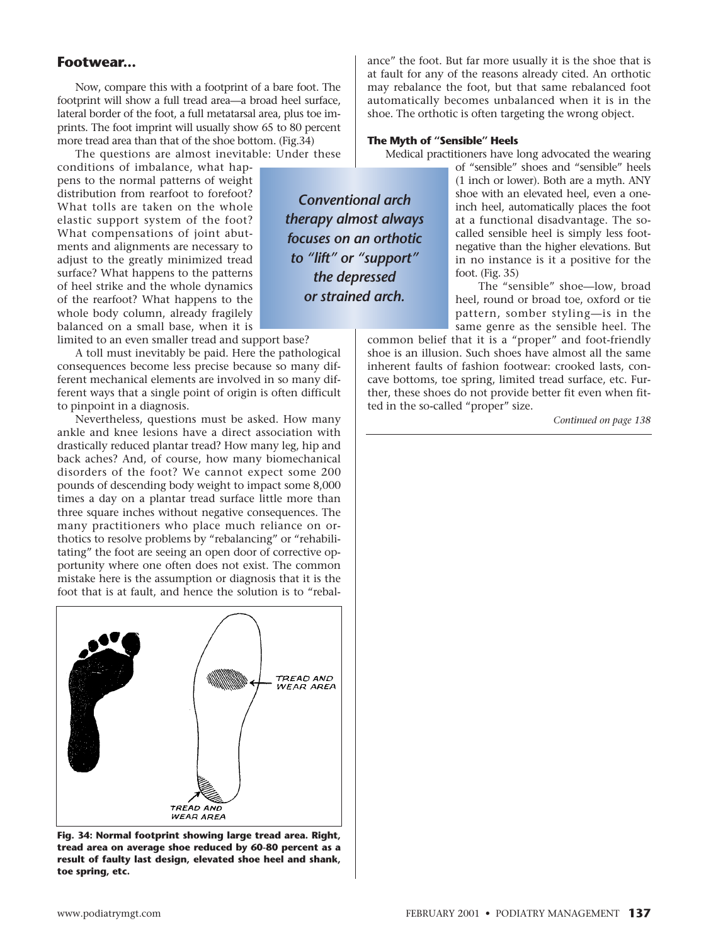Now, compare this with a footprint of a bare foot. The footprint will show a full tread area—a broad heel surface, lateral border of the foot, a full metatarsal area, plus toe imprints. The foot imprint will usually show 65 to 80 percent more tread area than that of the shoe bottom. (Fig.34)

The questions are almost inevitable: Under these

conditions of imbalance, what happens to the normal patterns of weight distribution from rearfoot to forefoot? What tolls are taken on the whole elastic support system of the foot? What compensations of joint abutments and alignments are necessary to adjust to the greatly minimized tread surface? What happens to the patterns of heel strike and the whole dynamics of the rearfoot? What happens to the whole body column, already fragilely balanced on a small base, when it is

limited to an even smaller tread and support base?

A toll must inevitably be paid. Here the pathological consequences become less precise because so many different mechanical elements are involved in so many different ways that a single point of origin is often difficult to pinpoint in a diagnosis.

Nevertheless, questions must be asked. How many ankle and knee lesions have a direct association with drastically reduced plantar tread? How many leg, hip and back aches? And, of course, how many biomechanical disorders of the foot? We cannot expect some 200 pounds of descending body weight to impact some 8,000 times a day on a plantar tread surface little more than three square inches without negative consequences. The many practitioners who place much reliance on orthotics to resolve problems by "rebalancing" or "rehabilitating" the foot are seeing an open door of corrective opportunity where one often does not exist. The common mistake here is the assumption or diagnosis that it is the foot that is at fault, and hence the solution is to "rebal-



**tread area on average shoe reduced by 60-80 percent as a result of faulty last design, elevated shoe heel and shank, toe spring, etc.**

**Footwear... Footwear** at fault for any of the reasons already cited. An orthotic may rebalance the foot, but that same rebalanced foot automatically becomes unbalanced when it is in the shoe. The orthotic is often targeting the wrong object.

#### **The Myth of "Sensible" Heels**

*Conventional arch therapy almost always focuses on an orthotic to "lift" or "support" the depressed or strained arch.*

Medical practitioners have long advocated the wearing

of "sensible" shoes and "sensible" heels (1 inch or lower). Both are a myth. ANY shoe with an elevated heel, even a oneinch heel, automatically places the foot at a functional disadvantage. The socalled sensible heel is simply less footnegative than the higher elevations. But in no instance is it a positive for the foot. (Fig. 35)

The "sensible" shoe—low, broad heel, round or broad toe, oxford or tie pattern, somber styling—is in the same genre as the sensible heel. The

common belief that it is a "proper" and foot-friendly shoe is an illusion. Such shoes have almost all the same inherent faults of fashion footwear: crooked lasts, concave bottoms, toe spring, limited tread surface, etc. Further, these shoes do not provide better fit even when fitted in the so-called "proper" size.